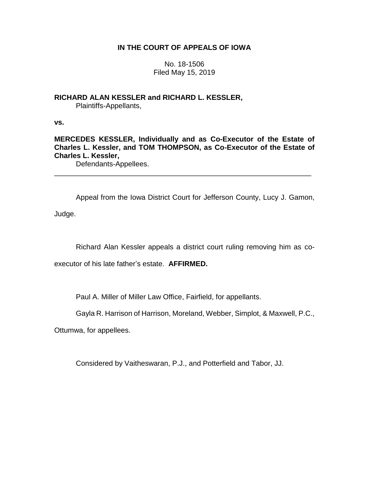# **IN THE COURT OF APPEALS OF IOWA**

No. 18-1506 Filed May 15, 2019

**RICHARD ALAN KESSLER and RICHARD L. KESSLER,** Plaintiffs-Appellants,

**vs.**

**MERCEDES KESSLER, Individually and as Co-Executor of the Estate of Charles L. Kessler, and TOM THOMPSON, as Co-Executor of the Estate of Charles L. Kessler,**

\_\_\_\_\_\_\_\_\_\_\_\_\_\_\_\_\_\_\_\_\_\_\_\_\_\_\_\_\_\_\_\_\_\_\_\_\_\_\_\_\_\_\_\_\_\_\_\_\_\_\_\_\_\_\_\_\_\_\_\_\_\_\_\_

Defendants-Appellees.

Appeal from the Iowa District Court for Jefferson County, Lucy J. Gamon, Judge.

Richard Alan Kessler appeals a district court ruling removing him as co-

executor of his late father's estate. **AFFIRMED.**

Paul A. Miller of Miller Law Office, Fairfield, for appellants.

Gayla R. Harrison of Harrison, Moreland, Webber, Simplot, & Maxwell, P.C.,

Ottumwa, for appellees.

Considered by Vaitheswaran, P.J., and Potterfield and Tabor, JJ.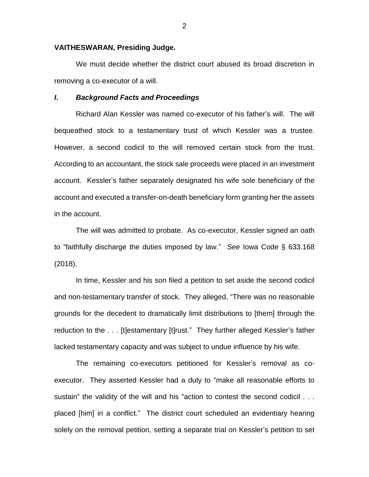## **VAITHESWARAN, Presiding Judge.**

We must decide whether the district court abused its broad discretion in removing a co-executor of a will.

## *I***.** *Background Facts and Proceedings*

Richard Alan Kessler was named co-executor of his father's will. The will bequeathed stock to a testamentary trust of which Kessler was a trustee. However, a second codicil to the will removed certain stock from the trust. According to an accountant, the stock sale proceeds were placed in an investment account. Kessler's father separately designated his wife sole beneficiary of the account and executed a transfer-on-death beneficiary form granting her the assets in the account.

The will was admitted to probate. As co-executor, Kessler signed an oath to "faithfully discharge the duties imposed by law." *See* Iowa Code § 633.168 (2018).

In time, Kessler and his son filed a petition to set aside the second codicil and non-testamentary transfer of stock. They alleged, "There was no reasonable grounds for the decedent to dramatically limit distributions to [them] through the reduction to the . . . [t]estamentary [t]rust." They further alleged Kessler's father lacked testamentary capacity and was subject to undue influence by his wife.

The remaining co-executors petitioned for Kessler's removal as coexecutor. They asserted Kessler had a duty to "make all reasonable efforts to sustain" the validity of the will and his "action to contest the second codicil . . . placed [him] in a conflict." The district court scheduled an evidentiary hearing solely on the removal petition, setting a separate trial on Kessler's petition to set

2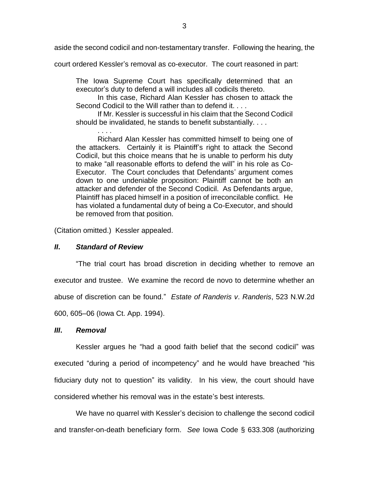aside the second codicil and non-testamentary transfer. Following the hearing, the

court ordered Kessler's removal as co-executor. The court reasoned in part:

The Iowa Supreme Court has specifically determined that an executor's duty to defend a will includes all codicils thereto.

In this case, Richard Alan Kessler has chosen to attack the Second Codicil to the Will rather than to defend it. . . .

If Mr. Kessler is successful in his claim that the Second Codicil should be invalidated, he stands to benefit substantially. . . .

. . . . Richard Alan Kessler has committed himself to being one of the attackers. Certainly it is Plaintiff's right to attack the Second Codicil, but this choice means that he is unable to perform his duty to make "all reasonable efforts to defend the will" in his role as Co-Executor. The Court concludes that Defendants' argument comes down to one undeniable proposition: Plaintiff cannot be both an attacker and defender of the Second Codicil. As Defendants argue, Plaintiff has placed himself in a position of irreconcilable conflict. He has violated a fundamental duty of being a Co-Executor, and should be removed from that position.

(Citation omitted.) Kessler appealed.

## *II***.** *Standard of Review*

"The trial court has broad discretion in deciding whether to remove an executor and trustee. We examine the record de novo to determine whether an abuse of discretion can be found." *Estate of Randeris v*. *Randeris*, 523 N.W.2d 600, 605–06 (Iowa Ct. App. 1994).

## *III***.** *Removal*

Kessler argues he "had a good faith belief that the second codicil" was executed "during a period of incompetency" and he would have breached "his fiduciary duty not to question" its validity. In his view, the court should have considered whether his removal was in the estate's best interests.

We have no quarrel with Kessler's decision to challenge the second codicil and transfer-on-death beneficiary form. *See* Iowa Code § 633.308 (authorizing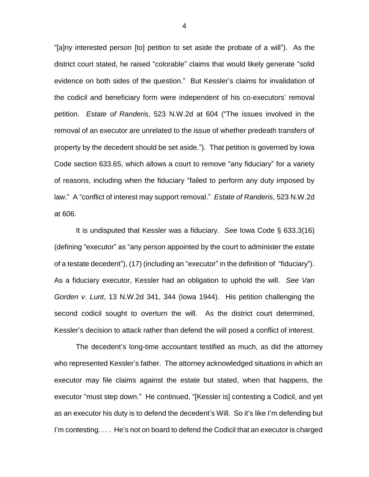"[a]ny interested person [to] petition to set aside the probate of a will"). As the district court stated, he raised "colorable" claims that would likely generate "solid evidence on both sides of the question." But Kessler's claims for invalidation of the codicil and beneficiary form were independent of his co-executors' removal petition. *Estate of Randeris*, 523 N.W.2d at 604 ("The issues involved in the removal of an executor are unrelated to the issue of whether predeath transfers of property by the decedent should be set aside."). That petition is governed by Iowa Code section 633.65, which allows a court to remove "any fiduciary" for a variety of reasons, including when the fiduciary "failed to perform any duty imposed by law." A "conflict of interest may support removal." *Estate of Randeris*, 523 N.W.2d at 606.

It is undisputed that Kessler was a fiduciary. *See* Iowa Code § 633.3(16) (defining "executor" as "any person appointed by the court to administer the estate of a testate decedent"), (17) (including an "executor" in the definition of "fiduciary"). As a fiduciary executor, Kessler had an obligation to uphold the will. *See Van Gorden v*. *Lunt*, 13 N.W.2d 341, 344 (Iowa 1944). His petition challenging the second codicil sought to overturn the will. As the district court determined, Kessler's decision to attack rather than defend the will posed a conflict of interest.

The decedent's long-time accountant testified as much, as did the attorney who represented Kessler's father. The attorney acknowledged situations in which an executor may file claims against the estate but stated, when that happens, the executor "must step down." He continued, "[Kessler is] contesting a Codicil, and yet as an executor his duty is to defend the decedent's Will. So it's like I'm defending but I'm contesting. . . . He's not on board to defend the Codicil that an executor is charged

4